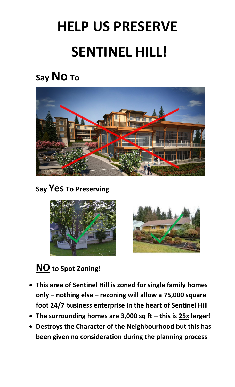# **HELP US PRESERVE SENTINEL HILL!**

# **Say No To**



#### **Say Yes To Preserving**





## **NOto Spot Zoning!**

- · **This area of Sentinel Hill is zoned for single family homes only – nothing else – rezoning will allow a 75,000 square foot 24/7 business enterprise in the heart of Sentinel Hill**
- · **The surrounding homes are 3,000 sq ft – this is 25x larger!**
- · **Destroys the Character of the Neighbourhood but this has been given no consideration during the planning process**